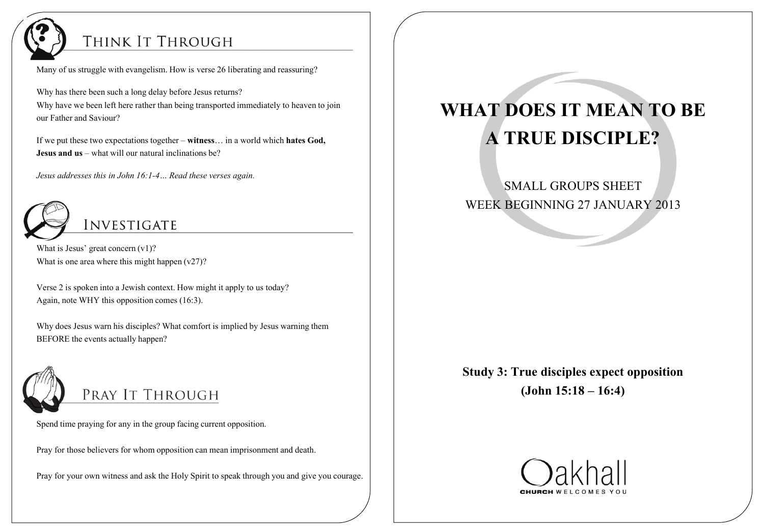

#### THINK IT THROUGH

Many of us struggle with evangelism. How is verse 26 liberating and reassuring?

Why has there been such a long delay before Jesus returns? Why have we been left here rather than being transported immediately to heaven to join our Father and Saviour?

If we put these two expectations together – **witness**… in a world which **hates God, Jesus and us** – what will our natural inclinations be?

*Jesus addresses this in John 16:1-4… Read these verses again.*



What is Jesus' great concern  $(v1)$ ? What is one area where this might happen  $(v27)$ ?

Verse 2 is spoken into a Jewish context. How might it apply to us today? Again, note WHY this opposition comes (16:3).

Why does Jesus warn his disciples? What comfort is implied by Jesus warning them BEFORE the events actually happen?



PRAY IT THROUGH

Spend time praying for any in the group facing current opposition.

Pray for those believers for whom opposition can mean imprisonment and death.

Pray for your own witness and ask the Holy Spirit to speak through you and give you courage.

# **WHAT DOES IT MEAN TO BE A TRUE DISCIPLE?**

SMALL GROUPS SHEET WEEK BEGINNING 27 JANUARY 2013

**Study 3: True disciples expect opposition (John 15:18 – 16:4)**